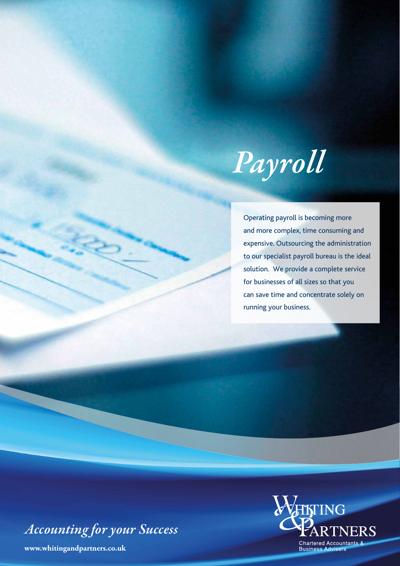

Operating payroll is becoming more and more complex, time consuming and expensive. Outsourcing the administration to our specialist payroll bureau is the ideal solution. We provide a complete service for businesses of all sizes so that you can save time and concentrate solely on running your business.

*Accounting for your Success*

**www.whitingandpartners.co.uk**